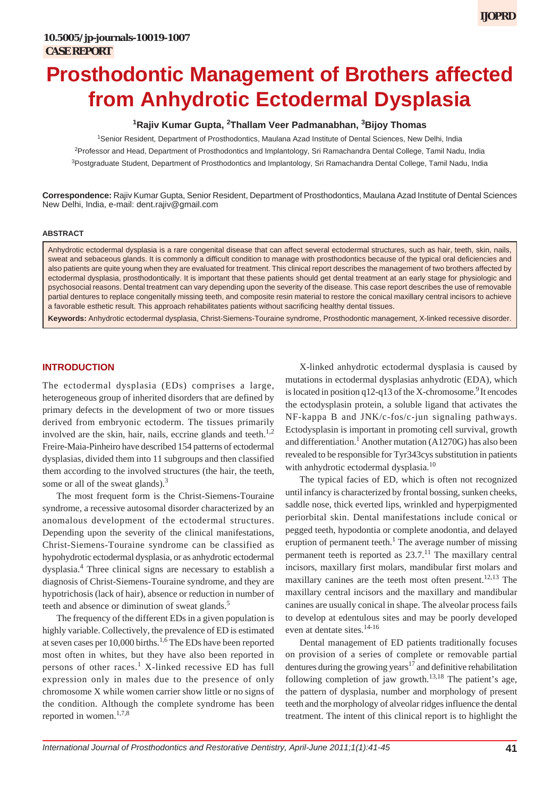# **Prosthodontic Management of Brothers affected from Anhydrotic Ectodermal Dysplasia**

## **1 Rajiv Kumar Gupta, <sup>2</sup> Thallam Veer Padmanabhan, 3 Bijoy Thomas**

1 Senior Resident, Department of Prosthodontics, Maulana Azad Institute of Dental Sciences, New Delhi, India <sup>2</sup>Professor and Head, Department of Prosthodontics and Implantology, Sri Ramachandra Dental College, Tamil Nadu, India <sup>3</sup>Postgraduate Student, Department of Prosthodontics and Implantology, Sri Ramachandra Dental College, Tamil Nadu, India

**Correspondence:** Rajiv Kumar Gupta, Senior Resident, Department of Prosthodontics, Maulana Azad Institute of Dental Sciences New Delhi, India, e-mail: dent.rajiv@gmail.com

#### **ABSTRACT**

Anhydrotic ectodermal dysplasia is a rare congenital disease that can affect several ectodermal structures, such as hair, teeth, skin, nails, sweat and sebaceous glands. It is commonly a difficult condition to manage with prosthodontics because of the typical oral deficiencies and also patients are quite young when they are evaluated for treatment. This clinical report describes the management of two brothers affected by ectodermal dysplasia, prosthodontically. It is important that these patients should get dental treatment at an early stage for physiologic and psychosocial reasons. Dental treatment can vary depending upon the severity of the disease. This case report describes the use of removable partial dentures to replace congenitally missing teeth, and composite resin material to restore the conical maxillary central incisors to achieve a favorable esthetic result. This approach rehabilitates patients without sacrificing healthy dental tissues.

**Keywords:** Anhydrotic ectodermal dysplasia, Christ-Siemens-Touraine syndrome, Prosthodontic management, X-linked recessive disorder.

### **INTRODUCTION**

The ectodermal dysplasia (EDs) comprises a large, heterogeneous group of inherited disorders that are defined by primary defects in the development of two or more tissues derived from embryonic ectoderm. The tissues primarily involved are the skin, hair, nails, eccrine glands and teeth. $1,2$ Freire-Maia-Pinheiro have described 154 patterns of ectodermal dysplasias, divided them into 11 subgroups and then classified them according to the involved structures (the hair, the teeth, some or all of the sweat glands).<sup>3</sup>

The most frequent form is the Christ-Siemens-Touraine syndrome, a recessive autosomal disorder characterized by an anomalous development of the ectodermal structures. Depending upon the severity of the clinical manifestations, Christ-Siemens-Touraine syndrome can be classified as hypohydrotic ectodermal dysplasia, or as anhydrotic ectodermal dysplasia.4 Three clinical signs are necessary to establish a diagnosis of Christ-Siemens-Touraine syndrome, and they are hypotrichosis (lack of hair), absence or reduction in number of teeth and absence or diminution of sweat glands.<sup>5</sup>

The frequency of the different EDs in a given population is highly variable. Collectively, the prevalence of ED is estimated at seven cases per 10,000 births.<sup>1,6</sup> The EDs have been reported most often in whites, but they have also been reported in persons of other races.<sup>1</sup> X-linked recessive ED has full expression only in males due to the presence of only chromosome X while women carrier show little or no signs of the condition. Although the complete syndrome has been reported in women.<sup>1,7,8</sup>

X-linked anhydrotic ectodermal dysplasia is caused by mutations in ectodermal dysplasias anhydrotic (EDA), which is located in position  $q12-q13$  of the X-chromosome.<sup>9</sup> It encodes the ectodysplasin protein, a soluble ligand that activates the NF-kappa B and JNK/c-fos/c-jun signaling pathways. Ectodysplasin is important in promoting cell survival, growth and differentiation.<sup>1</sup> Another mutation (A1270G) has also been revealed to be responsible for Tyr343cys substitution in patients with anhydrotic ectodermal dysplasia.<sup>10</sup>

The typical facies of ED, which is often not recognized until infancy is characterized by frontal bossing, sunken cheeks, saddle nose, thick everted lips, wrinkled and hyperpigmented periorbital skin. Dental manifestations include conical or pegged teeth, hypodontia or complete anodontia, and delayed eruption of permanent teeth.<sup>1</sup> The average number of missing permanent teeth is reported as  $23.7<sup>11</sup>$ . The maxillary central incisors, maxillary first molars, mandibular first molars and maxillary canines are the teeth most often present.<sup>12,13</sup> The maxillary central incisors and the maxillary and mandibular canines are usually conical in shape. The alveolar process fails to develop at edentulous sites and may be poorly developed even at dentate sites.14-16

Dental management of ED patients traditionally focuses on provision of a series of complete or removable partial dentures during the growing years<sup>17</sup> and definitive rehabilitation following completion of jaw growth.<sup>13,18</sup> The patient's age, the pattern of dysplasia, number and morphology of present teeth and the morphology of alveolar ridges influence the dental treatment. The intent of this clinical report is to highlight the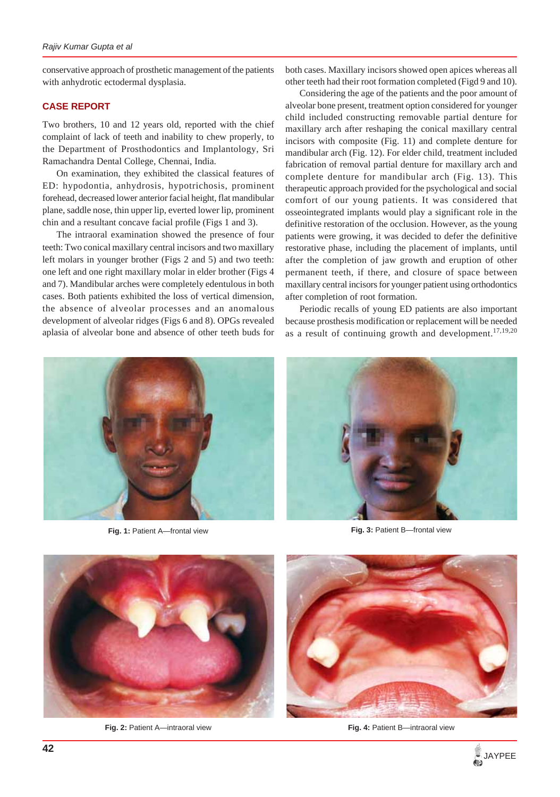conservative approach of prosthetic management of the patients with anhydrotic ectodermal dysplasia.

#### **CASE REPORT**

Two brothers, 10 and 12 years old, reported with the chief complaint of lack of teeth and inability to chew properly, to the Department of Prosthodontics and Implantology, Sri Ramachandra Dental College, Chennai, India.

On examination, they exhibited the classical features of ED: hypodontia, anhydrosis, hypotrichosis, prominent forehead, decreased lower anterior facial height, flat mandibular plane, saddle nose, thin upper lip, everted lower lip, prominent chin and a resultant concave facial profile (Figs 1 and 3).

The intraoral examination showed the presence of four teeth: Two conical maxillary central incisors and two maxillary left molars in younger brother (Figs 2 and 5) and two teeth: one left and one right maxillary molar in elder brother (Figs 4 and 7). Mandibular arches were completely edentulous in both cases. Both patients exhibited the loss of vertical dimension, the absence of alveolar processes and an anomalous development of alveolar ridges (Figs 6 and 8). OPGs revealed aplasia of alveolar bone and absence of other teeth buds for

both cases. Maxillary incisors showed open apices whereas all other teeth had their root formation completed (Figd 9 and 10).

Considering the age of the patients and the poor amount of alveolar bone present, treatment option considered for younger child included constructing removable partial denture for maxillary arch after reshaping the conical maxillary central incisors with composite (Fig. 11) and complete denture for mandibular arch (Fig. 12). For elder child, treatment included fabrication of removal partial denture for maxillary arch and complete denture for mandibular arch (Fig. 13). This therapeutic approach provided for the psychological and social comfort of our young patients. It was considered that osseointegrated implants would play a significant role in the definitive restoration of the occlusion. However, as the young patients were growing, it was decided to defer the definitive restorative phase, including the placement of implants, until after the completion of jaw growth and eruption of other permanent teeth, if there, and closure of space between maxillary central incisors for younger patient using orthodontics after completion of root formation.

Periodic recalls of young ED patients are also important because prosthesis modification or replacement will be needed as a result of continuing growth and development.<sup>17,19,20</sup>



**Fig. 1:** Patient A—frontal view



**Fig. 3:** Patient B—frontal view



**Fig. 2: Patient A—intraoral view** 



**Fig. 4:** Patient B—intraoral view

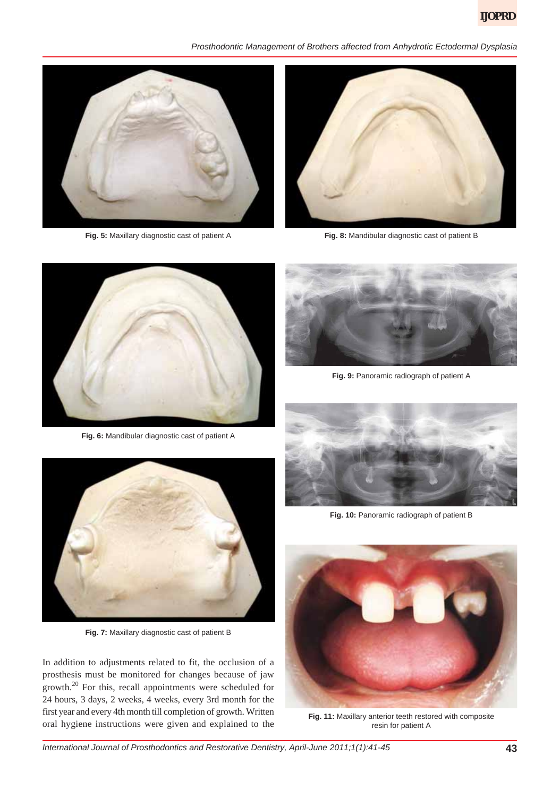*Prosthodontic Management of Brothers affected from Anhydrotic Ectodermal Dysplasia*



**Fig. 5:** Maxillary diagnostic cast of patient A



**Fig. 8:** Mandibular diagnostic cast of patient B



**Fig. 6:** Mandibular diagnostic cast of patient A



**Fig. 9:** Panoramic radiograph of patient A



**Fig. 7:** Maxillary diagnostic cast of patient B

In addition to adjustments related to fit, the occlusion of a prosthesis must be monitored for changes because of jaw growth.20 For this, recall appointments were scheduled for 24 hours, 3 days, 2 weeks, 4 weeks, every 3rd month for the first year and every 4th month till completion of growth. Written oral hygiene instructions were given and explained to the



**Fig. 10:** Panoramic radiograph of patient B



**Fig. 11:** Maxillary anterior teeth restored with composite resin for patient A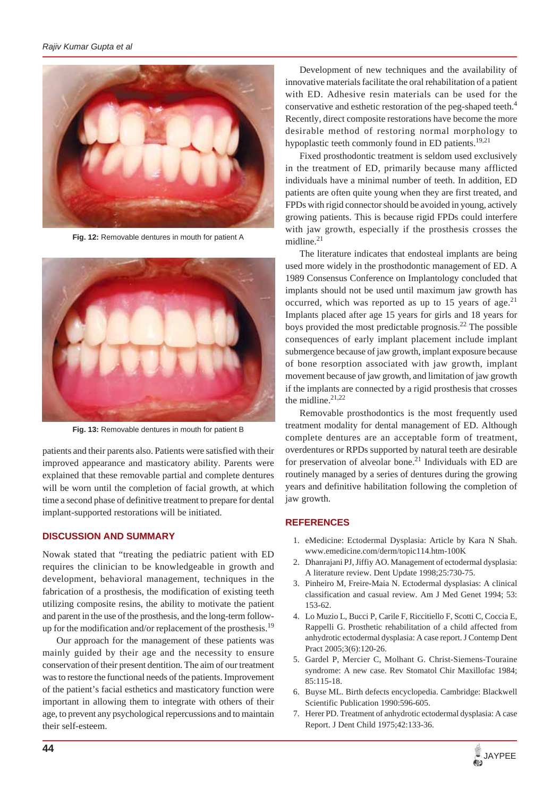

**Fig. 12:** Removable dentures in mouth for patient A



**Fig. 13:** Removable dentures in mouth for patient B

patients and their parents also. Patients were satisfied with their improved appearance and masticatory ability. Parents were explained that these removable partial and complete dentures will be worn until the completion of facial growth, at which time a second phase of definitive treatment to prepare for dental implant-supported restorations will be initiated.

#### **DISCUSSION AND SUMMARY**

Nowak stated that "treating the pediatric patient with ED requires the clinician to be knowledgeable in growth and development, behavioral management, techniques in the fabrication of a prosthesis, the modification of existing teeth utilizing composite resins, the ability to motivate the patient and parent in the use of the prosthesis, and the long-term followup for the modification and/or replacement of the prosthesis.<sup>19</sup>

Our approach for the management of these patients was mainly guided by their age and the necessity to ensure conservation of their present dentition. The aim of our treatment was to restore the functional needs of the patients. Improvement of the patient's facial esthetics and masticatory function were important in allowing them to integrate with others of their age, to prevent any psychological repercussions and to maintain their self-esteem.

Development of new techniques and the availability of innovative materials facilitate the oral rehabilitation of a patient with ED. Adhesive resin materials can be used for the conservative and esthetic restoration of the peg-shaped teeth.<sup>4</sup> Recently, direct composite restorations have become the more desirable method of restoring normal morphology to hypoplastic teeth commonly found in ED patients.<sup>19,21</sup>

Fixed prosthodontic treatment is seldom used exclusively in the treatment of ED, primarily because many afflicted individuals have a minimal number of teeth. In addition, ED patients are often quite young when they are first treated, and FPDs with rigid connector should be avoided in young, actively growing patients. This is because rigid FPDs could interfere with jaw growth, especially if the prosthesis crosses the midline.<sup>21</sup>

The literature indicates that endosteal implants are being used more widely in the prosthodontic management of ED. A 1989 Consensus Conference on Implantology concluded that implants should not be used until maximum jaw growth has occurred, which was reported as up to 15 years of age.<sup>21</sup> Implants placed after age 15 years for girls and 18 years for boys provided the most predictable prognosis.<sup>22</sup> The possible consequences of early implant placement include implant submergence because of jaw growth, implant exposure because of bone resorption associated with jaw growth, implant movement because of jaw growth, and limitation of jaw growth if the implants are connected by a rigid prosthesis that crosses the midline. $21,22$ 

Removable prosthodontics is the most frequently used treatment modality for dental management of ED. Although complete dentures are an acceptable form of treatment, overdentures or RPDs supported by natural teeth are desirable for preservation of alveolar bone.<sup>21</sup> Individuals with ED are routinely managed by a series of dentures during the growing years and definitive habilitation following the completion of jaw growth.

#### **REFERENCES**

- 1. eMedicine: Ectodermal Dysplasia: Article by Kara N Shah. www.emedicine.com/derm/topic114.htm-100K
- 2. Dhanrajani PJ, Jiffiy AO. Management of ectodermal dysplasia: A literature review. Dent Update 1998;25:730-75.
- 3. Pinheiro M, Freire-Maia N. Ectodermal dysplasias: A clinical classification and casual review. Am J Med Genet 1994; 53: 153-62.
- 4. Lo Muzio L, Bucci P, Carile F, Riccitiello F, Scotti C, Coccia E, Rappelli G. Prosthetic rehabilitation of a child affected from anhydrotic ectodermal dysplasia: A case report. J Contemp Dent Pract 2005;3(6):120-26.
- 5. Gardel P, Mercier C, Molhant G. Christ-Siemens-Touraine syndrome: A new case. Rev Stomatol Chir Maxillofac 1984; 85:115-18.
- 6. Buyse ML. Birth defects encyclopedia. Cambridge: Blackwell Scientific Publication 1990:596-605.
- 7. Herer PD. Treatment of anhydrotic ectodermal dysplasia: A case Report. J Dent Child 1975;42:133-36.